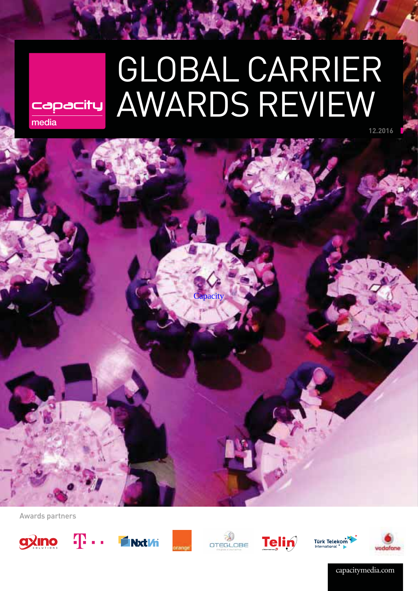### **12.2016** GLOBAL CARRIER **Edgedisty AWARDS REVIEW**



Awards partners









**Capacity** 







capacitymedia.com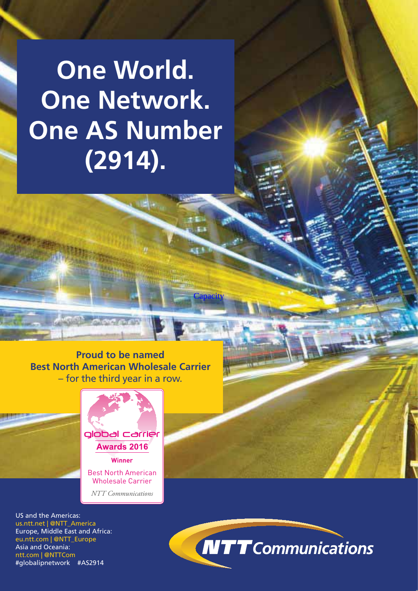### **One World. One Network. One AS Number (2914).**

**Proud to be named Best North American Wholesale Carrier**  – for the third year in a row.

**WORD A OVERFULL** 

**Capacity** 

us Ki





Best North American Wholesale Carrier

*NTT Communications*

US and the Americas: us.ntt.net | @NTT\_America Europe, Middle East and Africa: eu.ntt.com | @NTT\_Europe Asia and Oceania: ntt.com | @NTTCom #globalipnetwork #AS2914

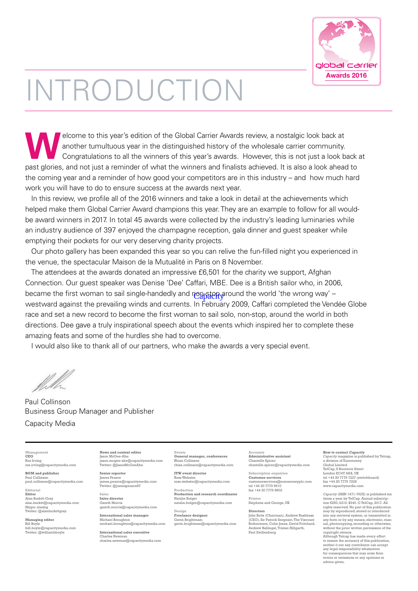

# INTRODUCTION

elcome to this year's edition of the Global Carrier Awards review, a nostalgic look back at another tumultuous year in the distinguished history of the wholesale carrier community.<br>Congratulations to all the winners of thi another tumultuous year in the distinguished history of the wholesale carrier community. Congratulations to all the winners of this year's awards. However, this is not just a look back at past glories, and not just a reminder of what the winners and finalists achieved. It is also a look ahead to the coming year and a reminder of how good your competitors are in this industry – and how much hard work you will have to do to ensure success at the awards next year.

In this review, we profile all of the 2016 winners and take a look in detail at the achievements which helped make them Global Carrier Award champions this year. They are an example to follow for all wouldbe award winners in 2017. In total 45 awards were collected by the industry's leading luminaries while an industry audience of 397 enjoyed the champagne reception, gala dinner and guest speaker while emptying their pockets for our very deserving charity projects.

Our photo gallery has been expanded this year so you can relive the fun-filled night you experienced in the venue, the spectacular Maison de la Mutualité in Paris on 8 November.

The attendees at the awards donated an impressive £6,501 for the charity we support, Afghan Connection. Our guest speaker was Denise 'Dee' Caffari, MBE. Dee is a British sailor who, in 2006, became the first woman to sail single-handedly and non-pton-ground the world 'the wrong way' – westward against the prevailing winds and currents. In February 2009, Caffari completed the Vendée Globe race and set a new record to become the first woman to sail solo, non-stop, around the world in both directions. Dee gave a truly inspirational speech about the events which inspired her to complete these amazing feats and some of the hurdles she had to overcome.

I would also like to thank all of our partners, who make the awards a very special event.

Paul Collinson Business Group Manager and Publisher Capacity Media

**Management CEO** Ros Irving ros.irving@capacitymedia.com

**BGM and publisher** Paul Collins paul.collinson@capacitymedia.com

**Editorial Editor** Alan Burkitt-Gray alan.burkitt@capacitymedia.com Skype: alanbg Twitter: @alanburkittgray

**Managing editor** Bill Boyle bill.boyle@capacitymedia.com Twitter: @williamhboyle **News and content editor** Jason McGee-Abe jason.mcgee-abe@capacitymedia.com Twitter: @JasonMcGeeAbe

**Senior reporter** James Pearce <sub>james.russee<br>james.pearce@capacitymedia.com<br>Twitter: @iamespearce87</sub> Twitter: @jam

**Sales Sales director** Gareth Morris gareth.morris@capacitymedia.com

**International sales manager**  Michael Broughton michael.broughton@capacitymedia.com

**International sales executive**  Charles Newman charles.newman@capacitymedia.com **Events General manager, conferences** Rhian Collinson rhian.collinson@capacitymedia.com

**ITW event director** Ross Webster ross.webster@capacitymedia.com

**Production Production and research coordinator** Natalie Bolger natalie.bolger@capacitymedia.com

**Design Freelance designer** Gavin Brightmam gavin.brightman@capacitymedia.com **Accounts Administrative assistant** Chantelle Spicer chantelle.spicer@capacitymedia.com

**Subscription enquiries Customer services** customerservices@euromoneyplc.com tel +44 20 7779 8610 fax +44 20 7779 8602

**Printer** Stephens and George, UK

**Directors**  John Botts (Chairman), Andrew Rashbass (CEO), Sir Patrick Sergeant, The Viscount Rothermere, Colin Jones, David Pritchard, Andrew Ballingal, Tristan Hillgarth, Paul Zwillenberg

**How to contact** *Capacity*<br> *Capacity* magazine is published by Telcap,<br>
a division of Euromoney<br>
Clobal Limited<br>
TelCap, 8 Bouverie Street London EC4Y 8AX, UK tel +44 20 7779 7227 (switchboard) fax +44 20 7779 7228 w.<br>Wia com

*Capacity* (ISSN 1471-762X) is published six times a year by TelCap. Annual subscrip-tion €250, £210, \$340. © TelCap, 2017. All rights reserved. No part of this publication may by reproduced, stored or introduced<br>into any retrieval system, or transmitted in<br>any form or by any means, electronic, man-<br>ual, photocopying, recording or otherwise,<br>without the prior written permission of the copyright owners. Although Telcap has made every effort to ensure the accuracy of this publication, neither it nor any legal responsibility whatsoever<br>any legal responsibility whatsoever for consequences that may arise from<br>errors or omissions or any opinions or advice given.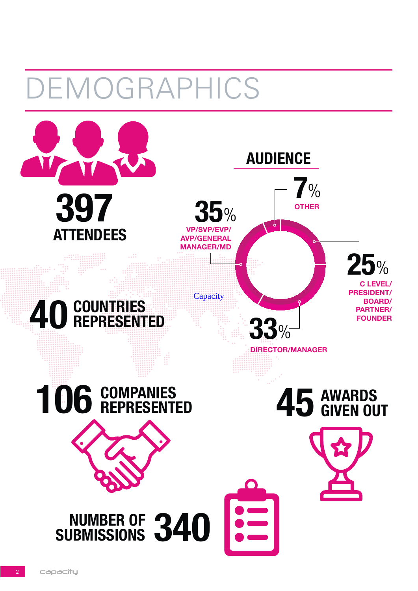# DEMOGRAPHICS

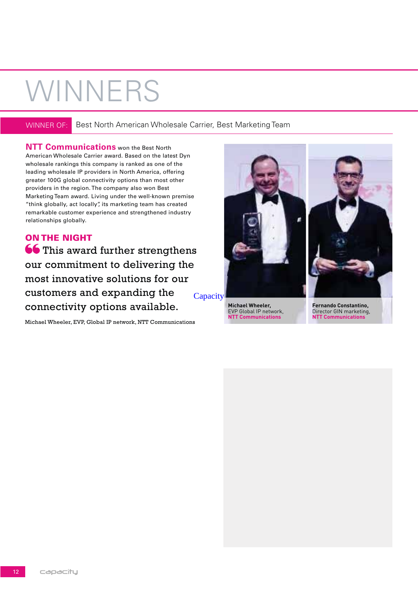# WINNERS

WINNER OF: Best North American Wholesale Carrier, Best Marketing Team

**NTT Communications** won the Best North American Wholesale Carrier award. Based on the latest Dyn wholesale rankings this company is ranked as one of the leading wholesale IP providers in North America, offering greater 100G global connectivity options than most other providers in the region. The company also won Best Marketing Team award. Living under the well-known premise "think globally, act locally", its marketing team has created remarkable customer experience and strengthened industry relationships globally.

**ON THE NIGHT 66** This award further strengthens our commitment to delivering the most innovative solutions for our customers and expanding the connectivity options available. **Capacity** 

Michael Wheeler, EVP, Global IP network, NTT Communications



**Michael Wheeler,** EVP Global IP network, **NTT Communications** **Fernando Constantino,** Director GIN marketing, **NTT Communications**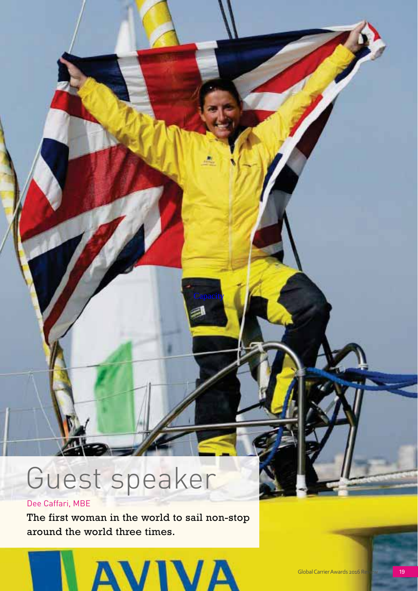# Guest speaker

### Dee Caffari, MBE

The first woman in the world to sail non-stop around the world three times.

**Capacity** 

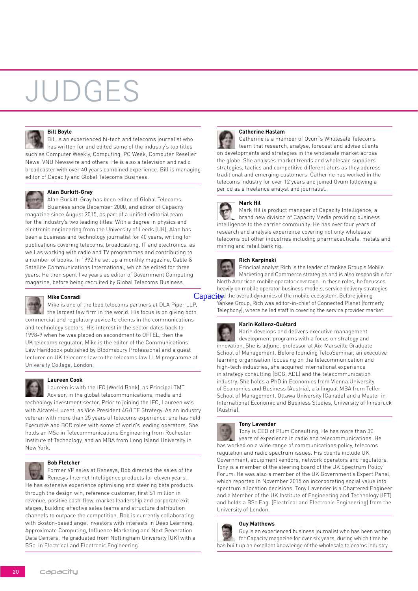# JUDGES

### **Bill Boyle**

Bill is an experienced hi-tech and telecoms journalist who has written for and edited some of the industry's top titles such as Computer Weekly, Computing, PC Week, Computer Reseller News, VNU Newswire and others. He is also a television and radio broadcaster with over 40 years combined experience. Bill is managing editor of Capacity and Global Telecoms Business.



### **Alan Burkitt-Gray**

Alan Burkitt-Gray has been editor of Global Telecoms Business since December 2000, and editor of Capacity magazine since August 2015, as part of a unified editorial team for the industry's two leading titles. With a degree in physics and electronic engineering from the University of Leeds (UK), Alan has been a business and technology journalist for 40 years, writing for publications covering telecoms, broadcasting, IT and electronics, as well as working with radio and TV programmes and contributing to a number of books. In 1992 he set up a monthly magazine, Cable & Satellite Communications International, which he edited for three years. He then spent five years as editor of Government Computing magazine, before being recruited by Global Telecoms Business.



### **Mike Conradi**

Mike is one of the lead telecoms partners at DLA Piper LLP, the largest law firm in the world. His focus is on giving both commercial and regulatory advice to clients in the communications and technology sectors. His interest in the sector dates back to 1998-9 when he was placed on secondment to OFTEL, then the

UK telecoms regulator. Mike is the editor of the Communications Law Handbook published by Bloomsbury Professional and a guest lecturer on UK telecoms law to the telecoms law LLM programme at University College, London.



### **Laureen Cook**

Laureen is with the IFC (World Bank), as Principal TMT Advisor, in the global telecommunications, media and technology investment sector. Prior to joining the IFC, Laureen was with Alcatel-Lucent, as Vice President 4G/LTE Strategy. As an industry veteran with more than 25 years of telecoms experience, she has held Executive and BOD roles with some of world's leading operators. She holds an MSc in Telecommunications Engineering from Rochester Institute of Technology, and an MBA from Long Island University in New York.



### **Bob Fletcher**

Former VP sales at Renesys, Bob directed the sales of the Renesys Internet Intelligence products for eleven years. He has extensive experience optimising and steering beta products through the design win, reference customer, first \$1 million in revenue, positive cash-flow, market leadership and corporate exit stages, building effective sales teams and structure distribution channels to outpace the competition. Bob is currently collaborating with Boston-based angel investors with interests in Deep Learning, Approximate Computing, Influence Marketing and Next Generation Data Centers. He graduated from Nottingham University (UK) with a BSc. in Electrical and Electronic Engineering.



Catherine is a member of Ovum's Wholesale Telecoms team that research, analyse, forecast and advise clients on developments and strategies in the wholesale market across the globe. She analyses market trends and wholesale suppliers' strategies, tactics and competitive differentiators as they address traditional and emerging customers. Catherine has worked in the telecoms industry for over 12 years and joined Ovum following a period as a freelance analyst and journalist.



Mark Hil is product manager of Capacity Intelligence, a brand new division of Capacity Media providing business intelligence to the carrier community. He has over four years of research and analysis experience covering not only wholesale telecoms but other industries including pharmaceuticals, metals and mining and retail banking.



### **Rich Karpinski**

Principal analyst Rich is the leader of Yankee Group's Mobile Marketing and Commerce strategies and is also responsible for North American mobile operator coverage. In these roles, he focusses heavily on mobile operator business models, service delivery strategies Capaciayd the overall dynamics of the mobile ecosystem. Before joining Yankee Group, Rich was editor-in-chief of Connected Planet (formerly Telephony), where he led staff in covering the service provider market.

### **Karin Kollenz-Quétard**

Karin develops and delivers executive management development programs with a focus on strategy and innovation. She is adjunct professor at Aix-Marseille Graduate School of Management. Before founding TelcoSeminar, an executive learning organisation focussing on the telecommunication and high-tech industries, she acquired international experience in strategy consulting (BCG, ADL) and the telecommunication industry. She holds a PhD in Economics from Vienna University of Economics and Business (Austria), a bilingual MBA from Telfer School of Management, Ottawa University (Canada) and a Master in International Economic and Business Studies, University of Innsbruck (Austria).

### **Tony Lavender**

Tony is CEO of Plum Consulting. He has more than 30 years of experience in radio and telecommunications. He has worked on a wide range of communications policy, telecoms regulation and radio spectrum issues. His clients include UK Government, equipment vendors, network operators and regulators. Tony is a member of the steering board of the UK Spectrum Policy Forum. He was also a member of the UK Government's Expert Panel, which reported in November 2015 on incorporating social value into spectrum allocation decisions. Tony Lavender is a Chartered Engineer and a Member of the UK Institute of Engineering and Technology (IET) and holds a BSc Eng. (Electrical and Electronic Engineering) from the University of London.

### **Guy Matthews**

Guy is an experienced business journalist who has been writing for Capacity magazine for over six years, during which time he has built up an excellent knowledge of the wholesale telecoms industry.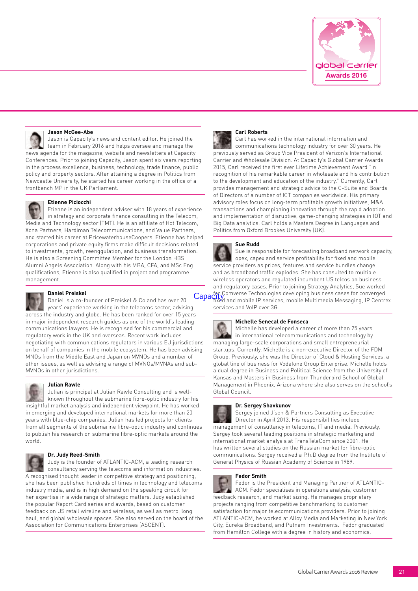



### **Jason McGee-Abe**

Jason is Capacity's news and content editor. He joined the team in February 2016 and helps oversee and manage the news agenda for the magazine, website and newsletters at Capacity Conferences. Prior to joining Capacity, Jason spent six years reporting in the process excellence, business, technology, trade finance, public policy and property sectors. After attaining a degree in Politics from Newcastle University, he started his career working in the office of a frontbench MP in the UK Parliament.



### **Etienne Piciocchi**

Etienne is an independent adviser with 18 years of experience in strategy and corporate finance consulting in the Telecom, Media and Technology sector (TMT). He is an affiliate of Hot Telecom, Xona Partners, Hardiman Telecommunications, and Value Partners, and started his career at PricewaterhouseCoopers. Etienne has helped corporations and private equity firms make difficult decisions related to investments, growth, reenggulation, and business transformation. He is also a Screening Committee Member for the London HBS Alumni Angels Association. Along with his MBA, CFA, and MSc Eng qualifications, Etienne is also qualified in project and programme management.



### **Daniel Preiskel**

Daniel is a co-founder of Preiskel & Co and has over 20

years' experience working in the telecoms sector, advising across the industry and globe. He has been ranked for over 15 years in major independent research guides as one of the world's leading communications lawyers. He is recognised for his commercial and regulatory work in the UK and overseas. Recent work includes negotiating with communications regulators in various EU jurisdictions on behalf of companies in the mobile ecosystem. He has been advising MNOs from the Middle East and Japan on MVNOs and a number of other issues, as well as advising a range of MVNOs/MVNAs and sub-MVNOs in other jurisdictions.



### **Julian Rawle**

Julian is principal at Julian Rawle Consulting and is wellknown throughout the submarine fibre-optic industry for his insightful market analysis and independent viewpoint. He has worked in emerging and developed international markets for more than 20 years with blue-chip companies. Julian has led projects for clients from all segments of the submarine fibre-optic industry and continues to publish his research on submarine fibre-optic markets around the world.



### **Dr. Judy Reed-Smith**

Judy is the founder of ATLANTIC-ACM, a leading research consultancy serving the telecoms and information industries. A recognised thought leader in competitive strategy and positioning, she has been published hundreds of times in technology and telecoms industry media, and is in high demand on the speaking circuit for her expertise in a wide range of strategic matters. Judy established the popular Report Card series and awards, based on customer feedback on US retail wireline and wireless, as well as metro, long haul, and global wholesale spaces. She also served on the board of the Association for Communications Enterprises (ASCENT).

### **Carl Roberts**

Carl has worked in the international information and communications technology industry for over 30 years. He previously served as Group Vice President of Verizon's International Carrier and Wholesale Division. At Capacity's Global Carrier Awards 2015, Carl received the first ever Lifetime Achievement Award "in recognition of his remarkable career in wholesale and his contribution to the development and education of the industry." Currently, Carl provides management and strategic advice to the C-Suite and Boards of Directors of a number of ICT companies worldwide. His primary advisory roles focus on long-term profitable growth initiatives, M&A transactions and championing innovation through the rapid adoption and implementation of disruptive, game-changing strategies in IOT and Big Data analytics. Carl holds a Masters Degree in Languages and Politics from Oxford Brookes University (UK).



### **Sue Rudd**

Sue is responsible for forecasting broadband network capacity, opex, capex and service profitability for fixed and mobile service providers as prices, features and service bundles change and as broadband traffic explodes. She has consulted to multiple wireless operators and regulated incumbent US telcos on business and regulatory cases. Prior to joining Strategy Analytics, Sue worked for Comverse Technologies developing business cases for converged Capactiff Comverse Technologies developing business cases for converged<br>Fixed and mobile IP services, mobile Multimedia Messaging, IP Centrex services and VoIP over 3G.

### **Michelle Senecal de Fonseca**

Michelle has developed a career of more than 25 years in international telecommunications and technology by managing large-scale corporations and small entrepreneurial startups. Currently, Michelle is a non-executive Director of the FDM Group. Previously, she was the Director of Cloud & Hosting Services, a global line of business for Vodafone Group Enterprise. Michelle holds a dual degree in Business and Political Science from the University of Kansas and Masters in Business from Thunderbird School of Global Management in Phoenix, Arizona where she also serves on the school's Global Council.

### **Dr. Sergey Shavkunov**

Sergey joined J'son & Partners Consulting as Executive Director in April 2013. His responsibilities include management of consultancy in telecoms, IT and media. Previously, Sergey took several leading positions in strategic marketing and international market analysis at TransTeleCom since 2001. He has written several studies on the Russian market for fibre-optic communications. Sergey received a P.h.D degree from the Institute of General Physics of Russian Academy of Science in 1989.

### **Fedor Smith**

Fedor is the President and Managing Partner of ATLANTIC-ACM. Fedor specialises in operations analysis, customer feedback research, and market sizing. He manages proprietary projects ranging from competitive benchmarking to customer satisfaction for major telecommunications providers. Prior to joining ATLANTIC-ACM, he worked at Alloy Media and Marketing in New York City, Eureka Broadband, and Putnam Investments. Fedor graduated from Hamilton College with a degree in history and economics.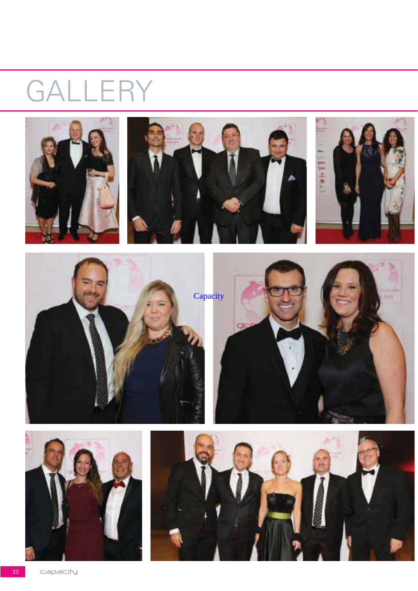









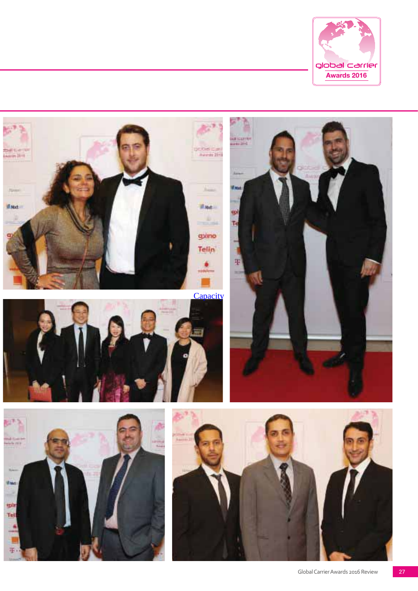

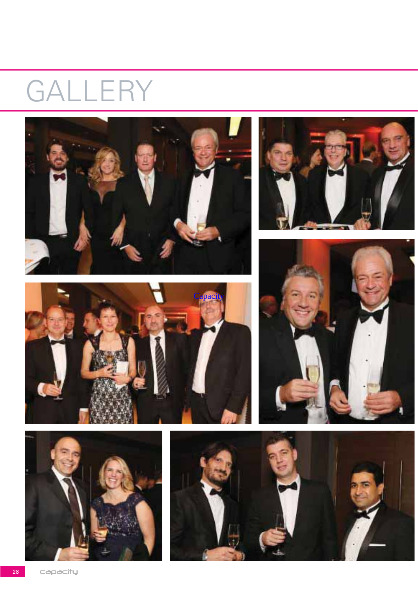









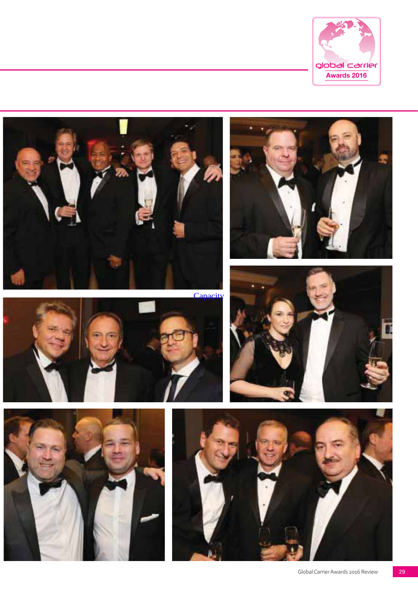











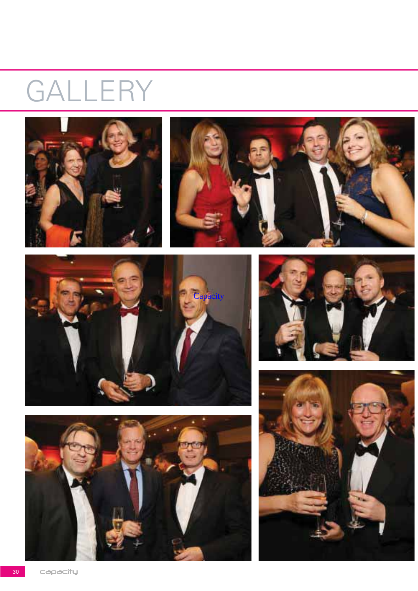









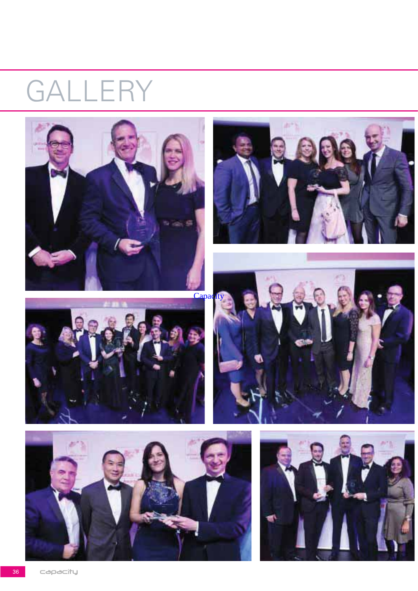